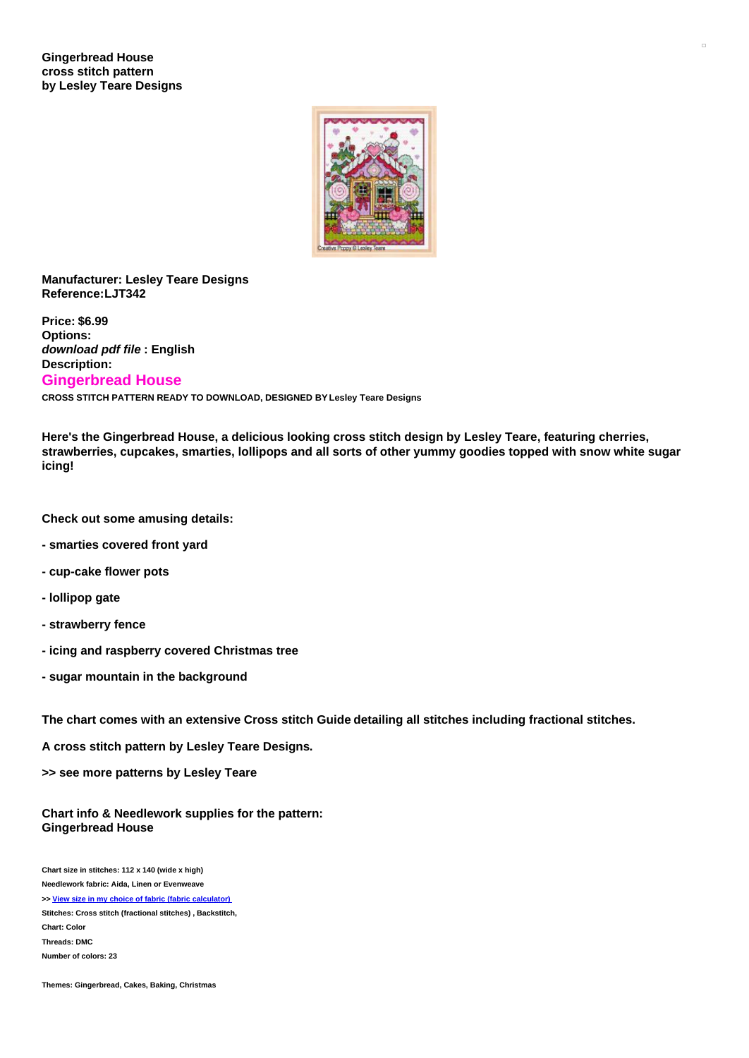

## **Manufacturer: Lesley Teare Designs Reference:LJT342**

**Price: \$6.99 Options:** *download pdf file* **: English Description: Gingerbread House CROSS STITCH PATTERN READY TO DOWNLOAD, DESIGNED BY Lesley Teare Designs**

**Here's the Gingerbread House, a delicious looking cross stitch design by Lesley Teare, featuring cherries, strawberries, cupcakes, smarties, lollipops and all sorts of other yummy goodies topped with snow white sugar icing!**

**Check out some amusing details:**

- **- smarties covered front yard**
- **- cup-cake flower pots**
- **- lollipop gate**
- **- strawberry fence**
- **- icing and raspberry covered Christmas tree**
- **- sugar mountain in the background**

**The chart comes with an extensive Cross stitch Guide detailing all stitches including fractional stitches.**

**A cross stitch pattern by Lesley Teare Designs.**

**>> see more patterns by Lesley Teare**

**Chart info & Needlework supplies for the pattern: Gingerbread House**

**Chart size in stitches: 112 x 140 (wide x high) Needlework fabric: Aida, Linen or Evenweave**

**>> View size in my choice of fabric (fabric [calculator\)](https://www.creativepoppypatterns.com/calculette-de-toile.php?products_id=2771&w=112&h=140) Stitches: Cross stitch (fractional stitches) , Backstitch, Chart: Color Threads: DMC Number of colors: 23**

**Themes: Gingerbread, Cakes, Baking, Christmas**